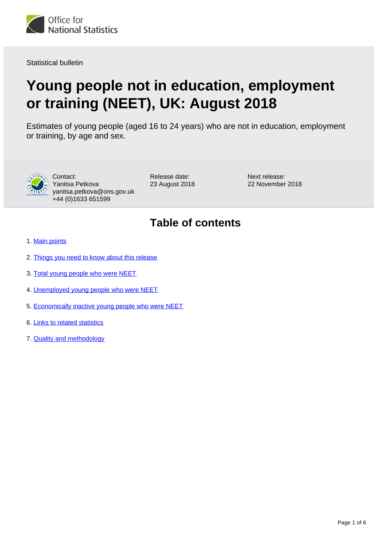

Statistical bulletin

# **Young people not in education, employment or training (NEET), UK: August 2018**

Estimates of young people (aged 16 to 24 years) who are not in education, employment or training, by age and sex.



Contact: Yanitsa Petkova yanitsa.petkova@ons.gov.uk +44 (0)1633 651599

Release date: 23 August 2018 Next release: 22 November 2018

## **Table of contents**

- 1. [Main points](#page-1-0)
- 2. [Things you need to know about this release](#page-1-1)
- 3. [Total young people who were NEET](#page-2-0)
- 4. [Unemployed young people who were NEET](#page-3-0)
- 5. [Economically inactive young people who were NEET](#page-4-0)
- 6. [Links to related statistics](#page-4-1)
- 7. [Quality and methodology](#page-4-2)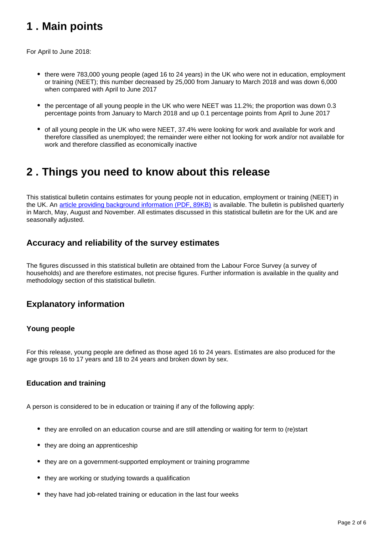## <span id="page-1-0"></span>**1 . Main points**

For April to June 2018:

- there were 783,000 young people (aged 16 to 24 years) in the UK who were not in education, employment or training (NEET); this number decreased by 25,000 from January to March 2018 and was down 6,000 when compared with April to June 2017
- the percentage of all young people in the UK who were NEET was 11.2%; the proportion was down 0.3 percentage points from January to March 2018 and up 0.1 percentage points from April to June 2017
- of all young people in the UK who were NEET, 37.4% were looking for work and available for work and therefore classified as unemployed; the remainder were either not looking for work and/or not available for work and therefore classified as economically inactive

### <span id="page-1-1"></span>**2 . Things you need to know about this release**

This statistical bulletin contains estimates for young people not in education, employment or training (NEET) in the UK. An [article providing background information \(PDF, 89KB\)](http://webarchive.nationalarchives.gov.uk/20160204094749/http:/ons.gov.uk/ons/guide-method/method-quality/specific/labour-market/articles-and-reports/young-people-who-are-neet.pdf) is available. The bulletin is published quarterly in March, May, August and November. All estimates discussed in this statistical bulletin are for the UK and are seasonally adjusted.

### **Accuracy and reliability of the survey estimates**

The figures discussed in this statistical bulletin are obtained from the Labour Force Survey (a survey of households) and are therefore estimates, not precise figures. Further information is available in the quality and methodology section of this statistical bulletin.

### **Explanatory information**

#### **Young people**

For this release, young people are defined as those aged 16 to 24 years. Estimates are also produced for the age groups 16 to 17 years and 18 to 24 years and broken down by sex.

#### **Education and training**

A person is considered to be in education or training if any of the following apply:

- they are enrolled on an education course and are still attending or waiting for term to (re)start
- they are doing an apprenticeship
- they are on a government-supported employment or training programme
- they are working or studying towards a qualification
- they have had job-related training or education in the last four weeks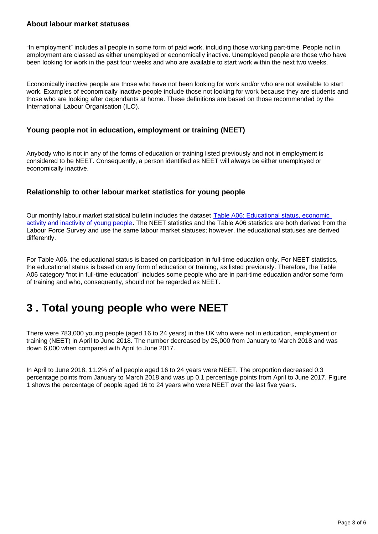#### **About labour market statuses**

"In employment" includes all people in some form of paid work, including those working part-time. People not in employment are classed as either unemployed or economically inactive. Unemployed people are those who have been looking for work in the past four weeks and who are available to start work within the next two weeks.

Economically inactive people are those who have not been looking for work and/or who are not available to start work. Examples of economically inactive people include those not looking for work because they are students and those who are looking after dependants at home. These definitions are based on those recommended by the International Labour Organisation (ILO).

#### **Young people not in education, employment or training (NEET)**

Anybody who is not in any of the forms of education or training listed previously and not in employment is considered to be NEET. Consequently, a person identified as NEET will always be either unemployed or economically inactive.

#### **Relationship to other labour market statistics for young people**

Our monthly labour market statistical bulletin includes the dataset Table A06: Educational status, economic [activity and inactivity of young people](http://www.ons.gov.uk/employmentandlabourmarket/peopleinwork/employmentandemployeetypes/datasets/educationalstatusandlabourmarketstatusforpeopleagedfrom16to24seasonallyadjusteda06sa). The NEET statistics and the Table A06 statistics are both derived from the Labour Force Survey and use the same labour market statuses; however, the educational statuses are derived differently.

For Table A06, the educational status is based on participation in full-time education only. For NEET statistics, the educational status is based on any form of education or training, as listed previously. Therefore, the Table A06 category "not in full-time education" includes some people who are in part-time education and/or some form of training and who, consequently, should not be regarded as NEET.

## <span id="page-2-0"></span>**3 . Total young people who were NEET**

There were 783,000 young people (aged 16 to 24 years) in the UK who were not in education, employment or training (NEET) in April to June 2018. The number decreased by 25,000 from January to March 2018 and was down 6,000 when compared with April to June 2017.

In April to June 2018, 11.2% of all people aged 16 to 24 years were NEET. The proportion decreased 0.3 percentage points from January to March 2018 and was up 0.1 percentage points from April to June 2017. Figure 1 shows the percentage of people aged 16 to 24 years who were NEET over the last five years.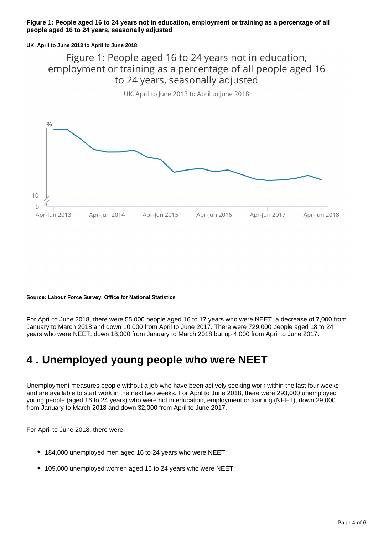#### **Figure 1: People aged 16 to 24 years not in education, employment or training as a percentage of all people aged 16 to 24 years, seasonally adjusted**

#### **UK, April to June 2013 to April to June 2018**

Figure 1: People aged 16 to 24 years not in education, employment or training as a percentage of all people aged 16 to 24 years, seasonally adjusted

UK, April to June 2013 to April to June 2018



#### **Source: Labour Force Survey, Office for National Statistics**

For April to June 2018, there were 55,000 people aged 16 to 17 years who were NEET, a decrease of 7,000 from January to March 2018 and down 10,000 from April to June 2017. There were 729,000 people aged 18 to 24 years who were NEET, down 18,000 from January to March 2018 but up 4,000 from April to June 2017.

### <span id="page-3-0"></span>**4 . Unemployed young people who were NEET**

Unemployment measures people without a job who have been actively seeking work within the last four weeks and are available to start work in the next two weeks. For April to June 2018, there were 293,000 unemployed young people (aged 16 to 24 years) who were not in education, employment or training (NEET), down 29,000 from January to March 2018 and down 32,000 from April to June 2017.

For April to June 2018, there were:

- 184,000 unemployed men aged 16 to 24 years who were NEET
- 109,000 unemployed women aged 16 to 24 years who were NEET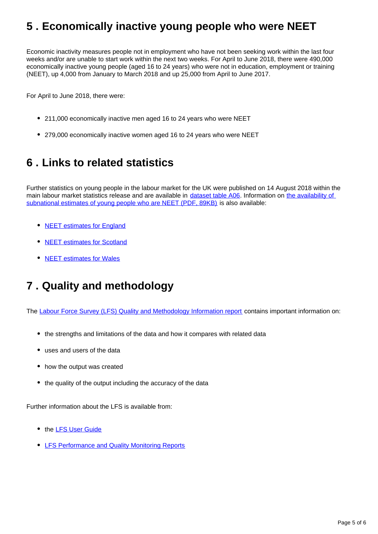## <span id="page-4-0"></span>**5 . Economically inactive young people who were NEET**

Economic inactivity measures people not in employment who have not been seeking work within the last four weeks and/or are unable to start work within the next two weeks. For April to June 2018, there were 490,000 economically inactive young people (aged 16 to 24 years) who were not in education, employment or training (NEET), up 4,000 from January to March 2018 and up 25,000 from April to June 2017.

For April to June 2018, there were:

- 211,000 economically inactive men aged 16 to 24 years who were NEET
- 279,000 economically inactive women aged 16 to 24 years who were NEET

### <span id="page-4-1"></span>**6 . Links to related statistics**

Further statistics on young people in the labour market for the UK were published on 14 August 2018 within the main labour market statistics release and are available in [dataset table A06](https://www.ons.gov.uk/employmentandlabourmarket/peopleinwork/employmentandemployeetypes/datasets/educationalstatusandlabourmarketstatusforpeopleagedfrom16to24seasonallyadjusteda06sa). Information on the availability of [subnational estimates of young people who are NEET \(PDF, 89KB\)](http://webarchive.nationalarchives.gov.uk/20160204094749/http:/ons.gov.uk/ons/guide-method/method-quality/specific/labour-market/articles-and-reports/young-people-who-are-neet.pdf) is also available:

- [NEET estimates for England](https://www.gov.uk/government/collections/statistics-neet)
- [NEET estimates for Scotland](http://www.gov.scot/Topics/Statistics/Browse/Labour-Market/LANEET)
- [NEET estimates for Wales](http://gov.wales/statistics-and-research/young-people-not-education-employment-training/?lang=en)

## <span id="page-4-2"></span>**7 . Quality and methodology**

The [Labour Force Survey \(LFS\) Quality and Methodology Information report](http://www.ons.gov.uk/employmentandlabourmarket/peopleinwork/employmentandemployeetypes/qmis/labourforcesurveylfsqmi) contains important information on:

- the strengths and limitations of the data and how it compares with related data
- uses and users of the data
- how the output was created
- the quality of the output including the accuracy of the data

Further information about the LFS is available from:

- the **[LFS User Guide](https://www.ons.gov.uk/employmentandlabourmarket/peopleinwork/employmentandemployeetypes/methodologies/labourforcesurveyuserguidance)**
- **[LFS Performance and Quality Monitoring Reports](https://www.ons.gov.uk/employmentandlabourmarket/peopleinwork/employmentandemployeetypes/methodologies/labourforcesurveyperformanceandqualitymonitoringreports)**